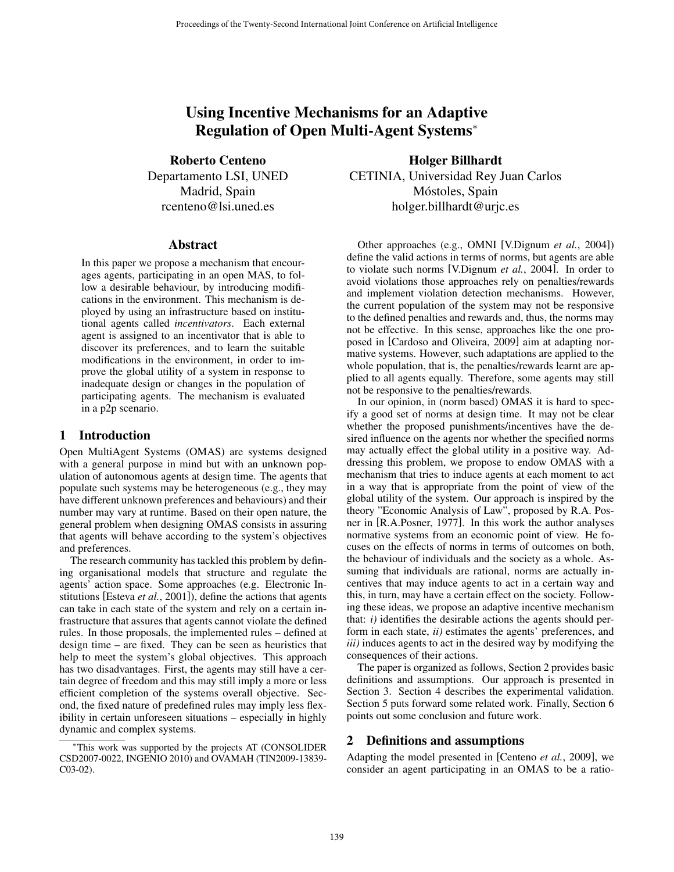# Using Incentive Mechanisms for an Adaptive Regulation of Open Multi-Agent Systems<sup>∗</sup>

Roberto Centeno Departamento LSI, UNED Madrid, Spain rcenteno@lsi.uned.es

#### Abstract

In this paper we propose a mechanism that encourages agents, participating in an open MAS, to follow a desirable behaviour, by introducing modifications in the environment. This mechanism is deployed by using an infrastructure based on institutional agents called *incentivators*. Each external agent is assigned to an incentivator that is able to discover its preferences, and to learn the suitable modifications in the environment, in order to improve the global utility of a system in response to inadequate design or changes in the population of participating agents. The mechanism is evaluated in a p2p scenario.

## 1 Introduction

Open MultiAgent Systems (OMAS) are systems designed with a general purpose in mind but with an unknown population of autonomous agents at design time. The agents that populate such systems may be heterogeneous (e.g., they may have different unknown preferences and behaviours) and their number may vary at runtime. Based on their open nature, the general problem when designing OMAS consists in assuring that agents will behave according to the system's objectives and preferences.

The research community has tackled this problem by defining organisational models that structure and regulate the agents' action space. Some approaches (e.g. Electronic Institutions [Esteva *et al.*, 2001]), define the actions that agents can take in each state of the system and rely on a certain infrastructure that assures that agents cannot violate the defined rules. In those proposals, the implemented rules – defined at design time – are fixed. They can be seen as heuristics that help to meet the system's global objectives. This approach has two disadvantages. First, the agents may still have a certain degree of freedom and this may still imply a more or less efficient completion of the systems overall objective. Second, the fixed nature of predefined rules may imply less flexibility in certain unforeseen situations – especially in highly dynamic and complex systems.

Holger Billhardt CETINIA, Universidad Rey Juan Carlos Móstoles, Spain holger.billhardt@urjc.es

Other approaches (e.g., OMNI [V.Dignum *et al.*, 2004]) define the valid actions in terms of norms, but agents are able to violate such norms [V.Dignum *et al.*, 2004]. In order to avoid violations those approaches rely on penalties/rewards and implement violation detection mechanisms. However, the current population of the system may not be responsive to the defined penalties and rewards and, thus, the norms may not be effective. In this sense, approaches like the one proposed in [Cardoso and Oliveira, 2009] aim at adapting normative systems. However, such adaptations are applied to the whole population, that is, the penalties/rewards learnt are applied to all agents equally. Therefore, some agents may still not be responsive to the penalties/rewards.

In our opinion, in (norm based) OMAS it is hard to specify a good set of norms at design time. It may not be clear whether the proposed punishments/incentives have the desired influence on the agents nor whether the specified norms may actually effect the global utility in a positive way. Addressing this problem, we propose to endow OMAS with a mechanism that tries to induce agents at each moment to act in a way that is appropriate from the point of view of the global utility of the system. Our approach is inspired by the theory "Economic Analysis of Law", proposed by R.A. Posner in [R.A.Posner, 1977]. In this work the author analyses normative systems from an economic point of view. He focuses on the effects of norms in terms of outcomes on both, the behaviour of individuals and the society as a whole. Assuming that individuals are rational, norms are actually incentives that may induce agents to act in a certain way and this, in turn, may have a certain effect on the society. Following these ideas, we propose an adaptive incentive mechanism that: *i)* identifies the desirable actions the agents should perform in each state, *ii)* estimates the agents' preferences, and *iii)* induces agents to act in the desired way by modifying the consequences of their actions.

The paper is organized as follows, Section 2 provides basic definitions and assumptions. Our approach is presented in Section 3. Section 4 describes the experimental validation. Section 5 puts forward some related work. Finally, Section 6 points out some conclusion and future work.

#### 2 Definitions and assumptions

Adapting the model presented in [Centeno *et al.*, 2009], we consider an agent participating in an OMAS to be a ratio-

<sup>∗</sup>This work was supported by the projects AT (CONSOLIDER CSD2007-0022, INGENIO 2010) and OVAMAH (TIN2009-13839- C03-02).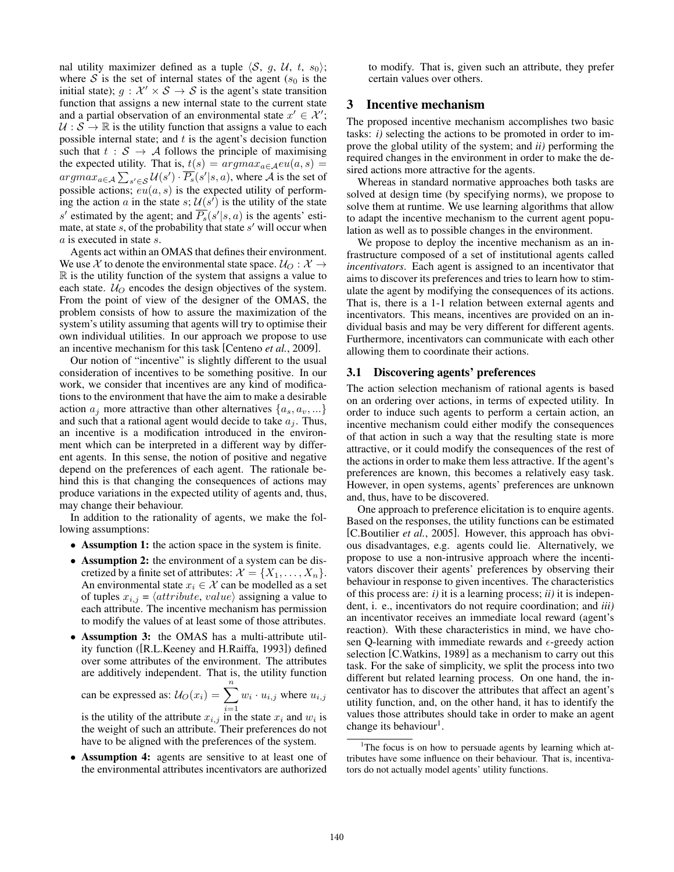nal utility maximizer defined as a tuple  $\langle S, g, \mathcal{U}, t, s_0 \rangle$ ; where S is the set of internal states of the agent  $(s_0)$  is the initial state);  $g : \mathcal{X}' \times \mathcal{S} \to \mathcal{S}$  is the agent's state transition function that assigns a new internal state to the current state and a partial observation of an environmental state  $x' \in \mathcal{X}'$ ;  $U : \mathcal{S} \to \mathbb{R}$  is the utility function that assigns a value to each possible internal state; and  $t$  is the agent's decision function such that  $t : S \rightarrow A$  follows the principle of maximising the expected utility. That is,  $t(s) = argmax_{a \in \mathcal{A}} eu(a, s)$  =  $argmax_{a \in \mathcal{A}} \sum_{s' \in \mathcal{S}} \mathcal{U}(s') \cdot \overline{P_s}(s'|s, a)$ , where A is the set of possible actions;  $eu(a, s)$  is the expected utility of performing the action a in the state  $s$ ;  $\mathcal{U}(s')$  is the utility of the state s' estimated by the agent; and  $\overline{P_s}(s'|s, a)$  is the agents' estimate, at state  $s$ , of the probability that state  $s'$  will occur when a is executed in state s.

Agents act within an OMAS that defines their environment. We use X to denote the environmental state space.  $U_O: \mathcal{X} \rightarrow$  $\mathbb R$  is the utility function of the system that assigns a value to each state.  $U_O$  encodes the design objectives of the system. From the point of view of the designer of the OMAS, the problem consists of how to assure the maximization of the system's utility assuming that agents will try to optimise their own individual utilities. In our approach we propose to use an incentive mechanism for this task [Centeno *et al.*, 2009].

Our notion of "incentive" is slightly different to the usual consideration of incentives to be something positive. In our work, we consider that incentives are any kind of modifications to the environment that have the aim to make a desirable action  $a_i$  more attractive than other alternatives  $\{a_s, a_v, ...\}$ and such that a rational agent would decide to take  $a_i$ . Thus, an incentive is a modification introduced in the environment which can be interpreted in a different way by different agents. In this sense, the notion of positive and negative depend on the preferences of each agent. The rationale behind this is that changing the consequences of actions may produce variations in the expected utility of agents and, thus, may change their behaviour.

In addition to the rationality of agents, we make the following assumptions:

- Assumption 1: the action space in the system is finite.
- Assumption 2: the environment of a system can be discretized by a finite set of attributes:  $\mathcal{X} = \{X_1, \ldots, X_n\}.$ An environmental state  $x_i \in \mathcal{X}$  can be modelled as a set of tuples  $x_{i,j} = \langle attribute, value \rangle$  assigning a value to each attribute. The incentive mechanism has permission to modify the values of at least some of those attributes.
- Assumption 3: the OMAS has a multi-attribute utility function ([R.L.Keeney and H.Raiffa, 1993]) defined over some attributes of the environment. The attributes are additively independent. That is, the utility function

can be expressed as: 
$$
U_O(x_i) = \sum_{i=1}^n w_i \cdot u_{i,j}
$$
 where  $u_{i,j}$ 

is the utility of the attribute  $x_{i,j}$  in the state  $x_i$  and  $w_i$  is the weight of such an attribute. Their preferences do not have to be aligned with the preferences of the system.

• Assumption 4: agents are sensitive to at least one of the environmental attributes incentivators are authorized

to modify. That is, given such an attribute, they prefer certain values over others.

## 3 Incentive mechanism

The proposed incentive mechanism accomplishes two basic tasks: *i)* selecting the actions to be promoted in order to improve the global utility of the system; and *ii)* performing the required changes in the environment in order to make the desired actions more attractive for the agents.

Whereas in standard normative approaches both tasks are solved at design time (by specifying norms), we propose to solve them at runtime. We use learning algorithms that allow to adapt the incentive mechanism to the current agent population as well as to possible changes in the environment.

We propose to deploy the incentive mechanism as an infrastructure composed of a set of institutional agents called *incentivators*. Each agent is assigned to an incentivator that aims to discover its preferences and tries to learn how to stimulate the agent by modifying the consequences of its actions. That is, there is a 1-1 relation between external agents and incentivators. This means, incentives are provided on an individual basis and may be very different for different agents. Furthermore, incentivators can communicate with each other allowing them to coordinate their actions.

#### 3.1 Discovering agents' preferences

The action selection mechanism of rational agents is based on an ordering over actions, in terms of expected utility. In order to induce such agents to perform a certain action, an incentive mechanism could either modify the consequences of that action in such a way that the resulting state is more attractive, or it could modify the consequences of the rest of the actions in order to make them less attractive. If the agent's preferences are known, this becomes a relatively easy task. However, in open systems, agents' preferences are unknown and, thus, have to be discovered.

One approach to preference elicitation is to enquire agents. Based on the responses, the utility functions can be estimated [C.Boutilier *et al.*, 2005]. However, this approach has obvious disadvantages, e.g. agents could lie. Alternatively, we propose to use a non-intrusive approach where the incentivators discover their agents' preferences by observing their behaviour in response to given incentives. The characteristics of this process are: *i)* it is a learning process; *ii)* it is independent, i. e., incentivators do not require coordination; and *iii)* an incentivator receives an immediate local reward (agent's reaction). With these characteristics in mind, we have chosen Q-learning with immediate rewards and  $\epsilon$ -greedy action selection [C.Watkins, 1989] as a mechanism to carry out this task. For the sake of simplicity, we split the process into two different but related learning process. On one hand, the incentivator has to discover the attributes that affect an agent's utility function, and, on the other hand, it has to identify the values those attributes should take in order to make an agent change its behaviour<sup>1</sup>.

<sup>&</sup>lt;sup>1</sup>The focus is on how to persuade agents by learning which attributes have some influence on their behaviour. That is, incentivators do not actually model agents' utility functions.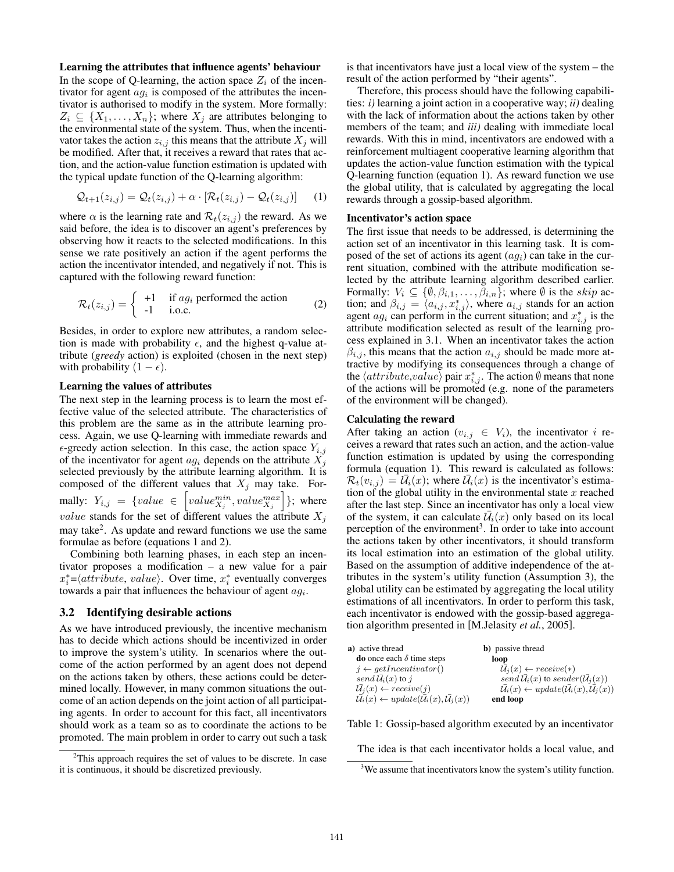#### Learning the attributes that influence agents' behaviour

In the scope of Q-learning, the action space  $Z_i$  of the incentivator for agent  $aq_i$  is composed of the attributes the incentivator is authorised to modify in the system. More formally:  $Z_i \subseteq \{X_1, \ldots, X_n\}$ ; where  $X_i$  are attributes belonging to the environmental state of the system. Thus, when the incentivator takes the action  $z_{i,j}$  this means that the attribute  $X_j$  will be modified. After that, it receives a reward that rates that action, and the action-value function estimation is updated with the typical update function of the Q-learning algorithm:

$$
\mathcal{Q}_{t+1}(z_{i,j}) = \mathcal{Q}_t(z_{i,j}) + \alpha \cdot [\mathcal{R}_t(z_{i,j}) - \mathcal{Q}_t(z_{i,j})] \tag{1}
$$

where  $\alpha$  is the learning rate and  $\mathcal{R}_t(z_{i,j})$  the reward. As we said before, the idea is to discover an agent's preferences by observing how it reacts to the selected modifications. In this sense we rate positively an action if the agent performs the action the incentivator intended, and negatively if not. This is captured with the following reward function:

$$
\mathcal{R}_t(z_{i,j}) = \begin{cases}\n+1 & \text{if } ag_i \text{ performed the action} \\
-1 & \text{i.o.c.} \n\end{cases}
$$
\n(2)

Besides, in order to explore new attributes, a random selection is made with probability  $\epsilon$ , and the highest q-value attribute (*greedy* action) is exploited (chosen in the next step) with probability  $(1 - \epsilon)$ .

#### Learning the values of attributes

The next step in the learning process is to learn the most effective value of the selected attribute. The characteristics of this problem are the same as in the attribute learning process. Again, we use Q-learning with immediate rewards and  $\epsilon$ -greedy action selection. In this case, the action space  $Y_{i,j}$ of the incentivator for agent  $ag_i$  depends on the attribute  $X_j$ selected previously by the attribute learning algorithm. It is composed of the different values that  $X_j$  may take. Formally:  $Y_{i,j} = \{value \in \left[ value_{X_j}^{min}, value_{X_j}^{max} \right]$  $\Big]$  }; where *value* stands for the set of different values the attribute  $X_j$ may take<sup>2</sup>. As update and reward functions we use the same formulae as before (equations 1 and 2).

Combining both learning phases, in each step an incentivator proposes a modification – a new value for a pair  $x_i^* = \langle attribute, value \rangle$ . Over time,  $x_i^*$  eventually converges towards a pair that influences the behaviour of agent  $a g_i$ .

#### 3.2 Identifying desirable actions

As we have introduced previously, the incentive mechanism has to decide which actions should be incentivized in order to improve the system's utility. In scenarios where the outcome of the action performed by an agent does not depend on the actions taken by others, these actions could be determined locally. However, in many common situations the outcome of an action depends on the joint action of all participating agents. In order to account for this fact, all incentivators should work as a team so as to coordinate the actions to be promoted. The main problem in order to carry out such a task is that incentivators have just a local view of the system – the result of the action performed by "their agents".

Therefore, this process should have the following capabilities: *i)* learning a joint action in a cooperative way; *ii)* dealing with the lack of information about the actions taken by other members of the team; and *iii)* dealing with immediate local rewards. With this in mind, incentivators are endowed with a reinforcement multiagent cooperative learning algorithm that updates the action-value function estimation with the typical Q-learning function (equation 1). As reward function we use the global utility, that is calculated by aggregating the local rewards through a gossip-based algorithm.

## Incentivator's action space

The first issue that needs to be addressed, is determining the action set of an incentivator in this learning task. It is composed of the set of actions its agent  $(aq_i)$  can take in the current situation, combined with the attribute modification selected by the attribute learning algorithm described earlier. Formally:  $V_i \subseteq \{\emptyset, \beta_{i,1}, \ldots, \beta_{i,n}\}\;$ , where  $\emptyset$  is the *skip* action; and  $\beta_{i,j} = \langle a_{i,j}, x^*_{i,j} \rangle$ , where  $a_{i,j}$  stands for an action agent  $ag_i$  can perform in the current situation; and  $x^*_{i,j}$  is the attribute modification selected as result of the learning process explained in 3.1. When an incentivator takes the action  $\beta_{i,j}$ , this means that the action  $a_{i,j}$  should be made more attractive by modifying its consequences through a change of the  $\langle attribute, value \rangle$  pair  $x_{i,j}^*$ . The action  $\emptyset$  means that none of the actions will be promoted (e.g. none of the parameters of the environment will be changed).

#### Calculating the reward

After taking an action ( $v_{i,j} \in V_i$ ), the incentivator i receives a reward that rates such an action, and the action-value function estimation is updated by using the corresponding formula (equation 1). This reward is calculated as follows:  $\mathcal{R}_t(v_{i,j}) = \overline{\mathcal{U}}_i(x)$ ; where  $\overline{\mathcal{U}}_i(x)$  is the incentivator's estimation of the global utility in the environmental state  $x$  reached after the last step. Since an incentivator has only a local view of the system, it can calculate  $\overline{U}_i(x)$  only based on its local perception of the environment<sup>3</sup>. In order to take into account the actions taken by other incentivators, it should transform its local estimation into an estimation of the global utility. Based on the assumption of additive independence of the attributes in the system's utility function (Assumption 3), the global utility can be estimated by aggregating the local utility estimations of all incentivators. In order to perform this task, each incentivator is endowed with the gossip-based aggregation algorithm presented in [M.Jelasity *et al.*, 2005].

| a) active thread                                                                           | <b>b</b> ) passive thread                                                                  |
|--------------------------------------------------------------------------------------------|--------------------------------------------------------------------------------------------|
| <b>do</b> once each $\delta$ time steps                                                    | loop                                                                                       |
| $i \leftarrow getIncentivator()$                                                           | $\bar{\mathcal{U}}_i(x) \leftarrow receive(*)$                                             |
| send $\bar{U}_i(x)$ to j                                                                   | send $\bar{\mathcal{U}}_i(x)$ to sender $(\bar{\mathcal{U}}_i(x))$                         |
| $\bar{\mathcal{U}}_i(x) \leftarrow receive(j)$                                             | $\bar{\mathcal{U}}_i(x) \leftarrow update(\bar{\mathcal{U}}_i(x), \bar{\mathcal{U}}_i(x))$ |
| $\bar{\mathcal{U}}_i(x) \leftarrow update(\bar{\mathcal{U}}_i(x), \bar{\mathcal{U}}_i(x))$ | end loop                                                                                   |
|                                                                                            |                                                                                            |

Table 1: Gossip-based algorithm executed by an incentivator

The idea is that each incentivator holds a local value, and

<sup>&</sup>lt;sup>2</sup>This approach requires the set of values to be discrete. In case it is continuous, it should be discretized previously.

<sup>&</sup>lt;sup>3</sup>We assume that incentivators know the system's utility function.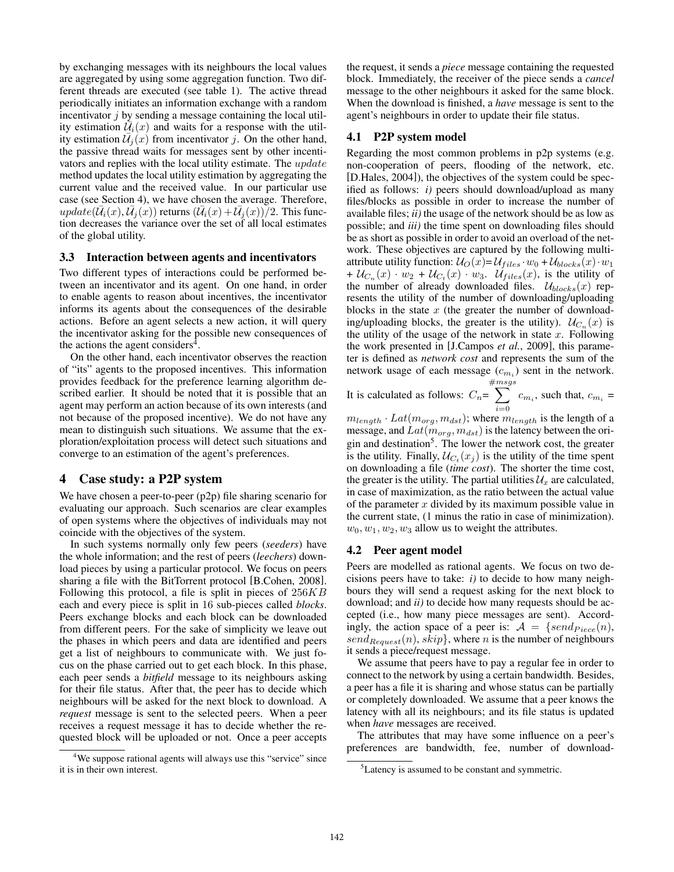by exchanging messages with its neighbours the local values are aggregated by using some aggregation function. Two different threads are executed (see table 1). The active thread periodically initiates an information exchange with a random incentivator  $j$  by sending a message containing the local utility estimation  $\overline{U}_i(x)$  and waits for a response with the utility estimation  $\overline{U}_j(x)$  from incentivator j. On the other hand, the passive thread waits for messages sent by other incentivators and replies with the local utility estimate. The update method updates the local utility estimation by aggregating the current value and the received value. In our particular use case (see Section 4), we have chosen the average. Therefore,  $update(\bar{U}_i(x), \bar{U}_j(x))$  returns  $(\bar{U}_i(x) + \bar{U}_j(x))/2$ . This function decreases the variance over the set of all local estimates of the global utility.

#### 3.3 Interaction between agents and incentivators

Two different types of interactions could be performed between an incentivator and its agent. On one hand, in order to enable agents to reason about incentives, the incentivator informs its agents about the consequences of the desirable actions. Before an agent selects a new action, it will query the incentivator asking for the possible new consequences of the actions the agent considers<sup>4</sup>.

On the other hand, each incentivator observes the reaction of "its" agents to the proposed incentives. This information provides feedback for the preference learning algorithm described earlier. It should be noted that it is possible that an agent may perform an action because of its own interests (and not because of the proposed incentive). We do not have any mean to distinguish such situations. We assume that the exploration/exploitation process will detect such situations and converge to an estimation of the agent's preferences.

## 4 Case study: a P2P system

We have chosen a peer-to-peer (p2p) file sharing scenario for evaluating our approach. Such scenarios are clear examples of open systems where the objectives of individuals may not coincide with the objectives of the system.

In such systems normally only few peers (*seeders*) have the whole information; and the rest of peers (*leechers*) download pieces by using a particular protocol. We focus on peers sharing a file with the BitTorrent protocol [B.Cohen, 2008]. Following this protocol, a file is split in pieces of 256KB each and every piece is split in 16 sub-pieces called *blocks*. Peers exchange blocks and each block can be downloaded from different peers. For the sake of simplicity we leave out the phases in which peers and data are identified and peers get a list of neighbours to communicate with. We just focus on the phase carried out to get each block. In this phase, each peer sends a *bitfield* message to its neighbours asking for their file status. After that, the peer has to decide which neighbours will be asked for the next block to download. A *request* message is sent to the selected peers. When a peer receives a request message it has to decide whether the requested block will be uploaded or not. Once a peer accepts the request, it sends a *piece* message containing the requested block. Immediately, the receiver of the piece sends a *cancel* message to the other neighbours it asked for the same block. When the download is finished, a *have* message is sent to the agent's neighbours in order to update their file status.

#### 4.1 P2P system model

Regarding the most common problems in p2p systems (e.g. non-cooperation of peers, flooding of the network, etc. [D.Hales, 2004]), the objectives of the system could be specified as follows: *i)* peers should download/upload as many files/blocks as possible in order to increase the number of available files; *ii)* the usage of the network should be as low as possible; and *iii)* the time spent on downloading files should be as short as possible in order to avoid an overload of the network. These objectives are captured by the following multiattribute utility function:  $U_O(x) = U_{files} \cdot w_0 + U_{blocks}(x) \cdot w_1$ +  $U_{C_n}(x) \cdot w_2 + U_{C_t}(x) \cdot w_3$ .  $U_{files}(x)$ , is the utility of the number of already downloaded files.  $\mathcal{U}_{blocks}(x)$  represents the utility of the number of downloading/uploading blocks in the state  $x$  (the greater the number of downloading/uploading blocks, the greater is the utility).  $U_{C_n}(x)$  is the utility of the usage of the network in state  $x$ . Following the work presented in [J.Campos *et al.*, 2009], this parameter is defined as *network cost* and represents the sum of the network usage of each message  $(c_{m_i})$  sent in the network.

It is calculated as follows:  $C_n=$  $\overbrace{ }^{ \# msgs}$  $\sum_{i=0}^{\infty} c_{m_i}$ , such that,  $c_{m_i} =$ 

 $m_{length} \cdot Lat(m_{org}, m_{dst})$ ; where  $m_{length}$  is the length of a message, and  $Lat(m_{org}, m_{dst})$  is the latency between the origin and destination<sup>5</sup>. The lower the network cost, the greater is the utility. Finally,  $U_{C_{t}}(x_i)$  is the utility of the time spent on downloading a file (*time cost*). The shorter the time cost, the greater is the utility. The partial utilities  $\mathcal{U}_x$  are calculated, in case of maximization, as the ratio between the actual value of the parameter  $x$  divided by its maximum possible value in the current state, (1 minus the ratio in case of minimization).  $w_0, w_1, w_2, w_3$  allow us to weight the attributes.

#### 4.2 Peer agent model

Peers are modelled as rational agents. We focus on two decisions peers have to take: *i)* to decide to how many neighbours they will send a request asking for the next block to download; and *ii)* to decide how many requests should be accepted (i.e., how many piece messages are sent). Accordingly, the action space of a peer is:  $A = \{send_{Piece}(n),\}$  $send_{Request}(n), skip\}$ , where *n* is the number of neighbours it sends a piece/request message.

We assume that peers have to pay a regular fee in order to connect to the network by using a certain bandwidth. Besides, a peer has a file it is sharing and whose status can be partially or completely downloaded. We assume that a peer knows the latency with all its neighbours; and its file status is updated when *have* messages are received.

The attributes that may have some influence on a peer's preferences are bandwidth, fee, number of download-

<sup>&</sup>lt;sup>4</sup>We suppose rational agents will always use this "service" since it is in their own interest.

<sup>&</sup>lt;sup>5</sup>Latency is assumed to be constant and symmetric.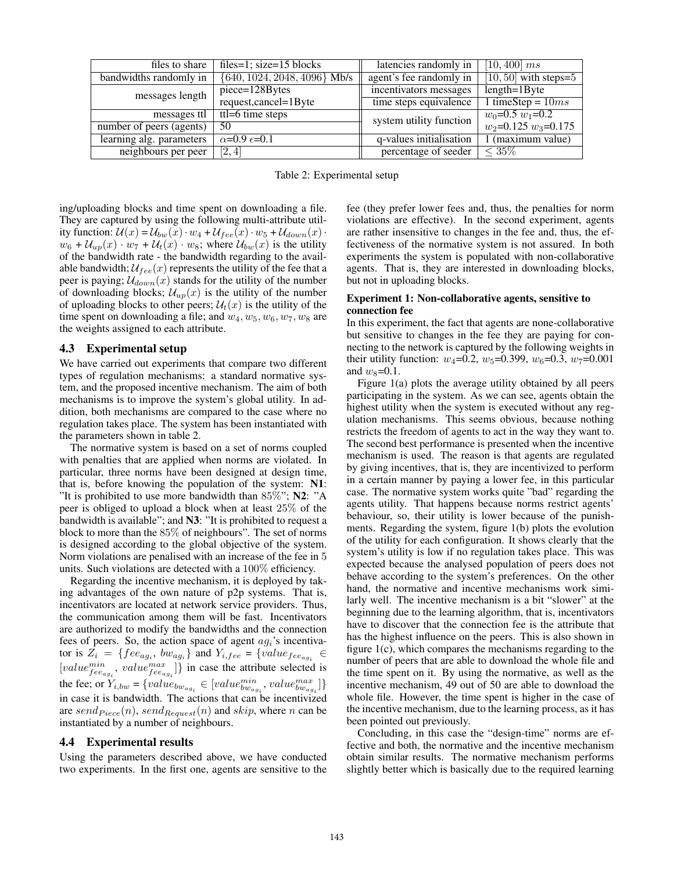| files to share           | files=1; size=15 blocks          | latencies randomly in   | $[10, 400]$ ms             |
|--------------------------|----------------------------------|-------------------------|----------------------------|
| bandwidths randomly in   | $\{640, 1024, 2048, 4096\}$ Mb/s | agent's fee randomly in | $[10, 50]$ with steps= $5$ |
| messages length          | piece=128Bytes                   | incentivators messages  | $length=1$ Byte            |
|                          | request, cancel=1Byte            | time steps equivalence  | 1 timeStep = $10ms$        |
| messages ttl             | ttl=6 time steps                 | system utility function | $w_0$ =0.5 $w_1$ =0.2      |
| number of peers (agents) | -50                              |                         | $w_2$ =0.125 $w_3$ =0.175  |
| learning alg. parameters | $\alpha$ =0.9 $\epsilon$ =0.1    | q-values initialisation | 1 (maximum value)          |
| neighbours per peer      | [2, 4]                           | percentage of seeder    | $\leq 35\%$                |

Table 2: Experimental setup

ing/uploading blocks and time spent on downloading a file. They are captured by using the following multi-attribute utility function:  $\mathcal{U}(x) = \mathcal{U}_{bw}(x) \cdot w_4 + \mathcal{U}_{fee}(x) \cdot w_5 + \mathcal{U}_{down}(x) \cdot w_7$  $w_6 + \mathcal{U}_{up}(x) \cdot w_7 + \mathcal{U}_t(x) \cdot w_8$ ; where  $\mathcal{U}_{bw}(x)$  is the utility of the bandwidth rate - the bandwidth regarding to the available bandwidth;  $\mathcal{U}_{fee}(x)$  represents the utility of the fee that a peer is paying;  $\mathcal{U}_{down}(x)$  stands for the utility of the number of downloading blocks;  $\mathcal{U}_{up}(x)$  is the utility of the number of uploading blocks to other peers;  $\mathcal{U}_t(x)$  is the utility of the time spent on downloading a file; and  $w_4, w_5, w_6, w_7, w_8$  are the weights assigned to each attribute.

## 4.3 Experimental setup

We have carried out experiments that compare two different types of regulation mechanisms: a standard normative system, and the proposed incentive mechanism. The aim of both mechanisms is to improve the system's global utility. In addition, both mechanisms are compared to the case where no regulation takes place. The system has been instantiated with the parameters shown in table 2.

The normative system is based on a set of norms coupled with penalties that are applied when norms are violated. In particular, three norms have been designed at design time, that is, before knowing the population of the system: N1: "It is prohibited to use more bandwidth than  $85\%$ "; N2: "A peer is obliged to upload a block when at least 25% of the bandwidth is available"; and N3: "It is prohibited to request a block to more than the 85% of neighbours". The set of norms is designed according to the global objective of the system. Norm violations are penalised with an increase of the fee in 5 units. Such violations are detected with a 100% efficiency.

Regarding the incentive mechanism, it is deployed by taking advantages of the own nature of p2p systems. That is, incentivators are located at network service providers. Thus, the communication among them will be fast. Incentivators are authorized to modify the bandwidths and the connection fees of peers. So, the action space of agent  $ag_i$ 's incentivator is  $Z_i = \{fee_{ag_i}, bw_{ag_i}\}$  and  $Y_{i, fee} = \{value_{fee_{ag_i}} \in$ [value  $\begin{bmatrix} \text{value}_{feeg_j}, \text{value}_{feeg_i}^{\text{max}} \end{bmatrix}$ } in case the attribute selected is the fee; or  $Y_{i,bw} = \{value_{b w_{agg}} \in [value_{b w_{agg}}^{min}, value_{b w_{agg}}^{max}] \}$ <br>in case it is bandwidth. The actions that can be incentivized in case it is bandwidth. The actions that can be incentivized are  $send_{Piece}(n)$ ,  $send_{Request}(n)$  and  $skip$ , where n can be instantiated by a number of neighbours.

#### 4.4 Experimental results

Using the parameters described above, we have conducted two experiments. In the first one, agents are sensitive to the fee (they prefer lower fees and, thus, the penalties for norm violations are effective). In the second experiment, agents are rather insensitive to changes in the fee and, thus, the effectiveness of the normative system is not assured. In both experiments the system is populated with non-collaborative agents. That is, they are interested in downloading blocks, but not in uploading blocks.

#### Experiment 1: Non-collaborative agents, sensitive to connection fee

In this experiment, the fact that agents are none-collaborative but sensitive to changes in the fee they are paying for connecting to the network is captured by the following weights in their utility function:  $w_4=0.2$ ,  $w_5=0.399$ ,  $w_6=0.3$ ,  $w_7=0.001$ and  $w_8$ =0.1.

Figure 1(a) plots the average utility obtained by all peers participating in the system. As we can see, agents obtain the highest utility when the system is executed without any regulation mechanisms. This seems obvious, because nothing restricts the freedom of agents to act in the way they want to. The second best performance is presented when the incentive mechanism is used. The reason is that agents are regulated by giving incentives, that is, they are incentivized to perform in a certain manner by paying a lower fee, in this particular case. The normative system works quite "bad" regarding the agents utility. That happens because norms restrict agents' behaviour, so, their utility is lower because of the punishments. Regarding the system, figure 1(b) plots the evolution of the utility for each configuration. It shows clearly that the system's utility is low if no regulation takes place. This was expected because the analysed population of peers does not behave according to the system's preferences. On the other hand, the normative and incentive mechanisms work similarly well. The incentive mechanism is a bit "slower" at the beginning due to the learning algorithm, that is, incentivators have to discover that the connection fee is the attribute that has the highest influence on the peers. This is also shown in figure 1(c), which compares the mechanisms regarding to the number of peers that are able to download the whole file and the time spent on it. By using the normative, as well as the incentive mechanism, 49 out of 50 are able to download the whole file. However, the time spent is higher in the case of the incentive mechanism, due to the learning process, as it has been pointed out previously.

Concluding, in this case the "design-time" norms are effective and both, the normative and the incentive mechanism obtain similar results. The normative mechanism performs slightly better which is basically due to the required learning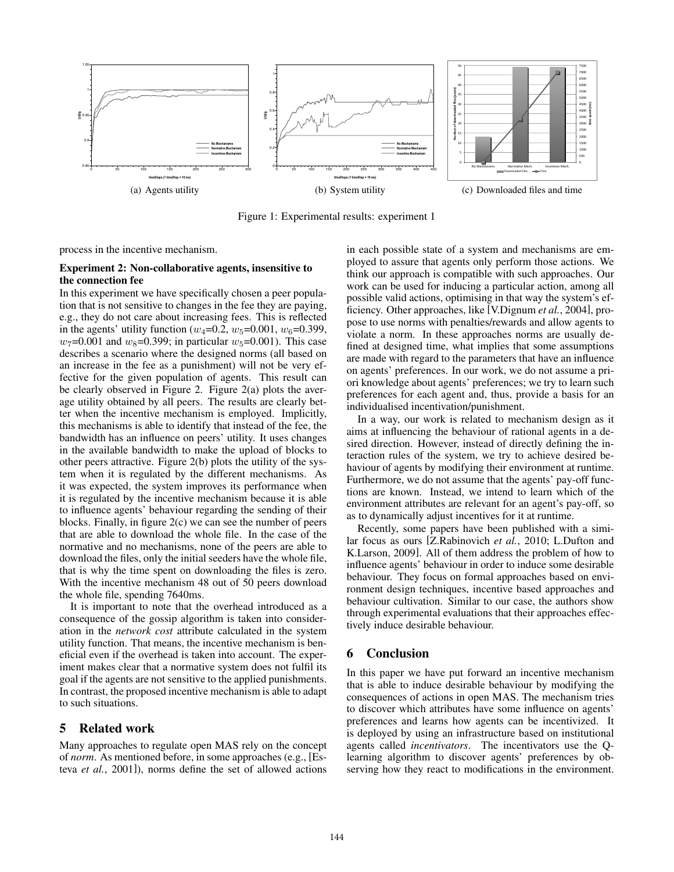

Figure 1: Experimental results: experiment 1

process in the incentive mechanism.

## Experiment 2: Non-collaborative agents, insensitive to the connection fee

In this experiment we have specifically chosen a peer population that is not sensitive to changes in the fee they are paying, e.g., they do not care about increasing fees. This is reflected in the agents' utility function ( $w_4$ =0.2,  $w_5$ =0.001,  $w_6$ =0.399,  $w_7$ =0.001 and  $w_8$ =0.399; in particular  $w_5$ =0.001). This case describes a scenario where the designed norms (all based on an increase in the fee as a punishment) will not be very effective for the given population of agents. This result can be clearly observed in Figure 2. Figure 2(a) plots the average utility obtained by all peers. The results are clearly better when the incentive mechanism is employed. Implicitly, this mechanisms is able to identify that instead of the fee, the bandwidth has an influence on peers' utility. It uses changes in the available bandwidth to make the upload of blocks to other peers attractive. Figure 2(b) plots the utility of the system when it is regulated by the different mechanisms. As it was expected, the system improves its performance when it is regulated by the incentive mechanism because it is able to influence agents' behaviour regarding the sending of their blocks. Finally, in figure 2(c) we can see the number of peers that are able to download the whole file. In the case of the normative and no mechanisms, none of the peers are able to download the files, only the initial seeders have the whole file, that is why the time spent on downloading the files is zero. With the incentive mechanism 48 out of 50 peers download the whole file, spending 7640ms.

It is important to note that the overhead introduced as a consequence of the gossip algorithm is taken into consideration in the *network cost* attribute calculated in the system utility function. That means, the incentive mechanism is beneficial even if the overhead is taken into account. The experiment makes clear that a normative system does not fulfil its goal if the agents are not sensitive to the applied punishments. In contrast, the proposed incentive mechanism is able to adapt to such situations.

# 5 Related work

Many approaches to regulate open MAS rely on the concept of *norm*. As mentioned before, in some approaches (e.g., [Esteva *et al.*, 2001]), norms define the set of allowed actions in each possible state of a system and mechanisms are employed to assure that agents only perform those actions. We think our approach is compatible with such approaches. Our work can be used for inducing a particular action, among all possible valid actions, optimising in that way the system's efficiency. Other approaches, like [V.Dignum *et al.*, 2004], propose to use norms with penalties/rewards and allow agents to violate a norm. In these approaches norms are usually defined at designed time, what implies that some assumptions are made with regard to the parameters that have an influence on agents' preferences. In our work, we do not assume a priori knowledge about agents' preferences; we try to learn such preferences for each agent and, thus, provide a basis for an individualised incentivation/punishment.

In a way, our work is related to mechanism design as it aims at influencing the behaviour of rational agents in a desired direction. However, instead of directly defining the interaction rules of the system, we try to achieve desired behaviour of agents by modifying their environment at runtime. Furthermore, we do not assume that the agents' pay-off functions are known. Instead, we intend to learn which of the environment attributes are relevant for an agent's pay-off, so as to dynamically adjust incentives for it at runtime.

Recently, some papers have been published with a similar focus as ours [Z.Rabinovich *et al.*, 2010; L.Dufton and K.Larson, 2009]. All of them address the problem of how to influence agents' behaviour in order to induce some desirable behaviour. They focus on formal approaches based on environment design techniques, incentive based approaches and behaviour cultivation. Similar to our case, the authors show through experimental evaluations that their approaches effectively induce desirable behaviour.

# 6 Conclusion

In this paper we have put forward an incentive mechanism that is able to induce desirable behaviour by modifying the consequences of actions in open MAS. The mechanism tries to discover which attributes have some influence on agents' preferences and learns how agents can be incentivized. It is deployed by using an infrastructure based on institutional agents called *incentivators*. The incentivators use the Qlearning algorithm to discover agents' preferences by observing how they react to modifications in the environment.